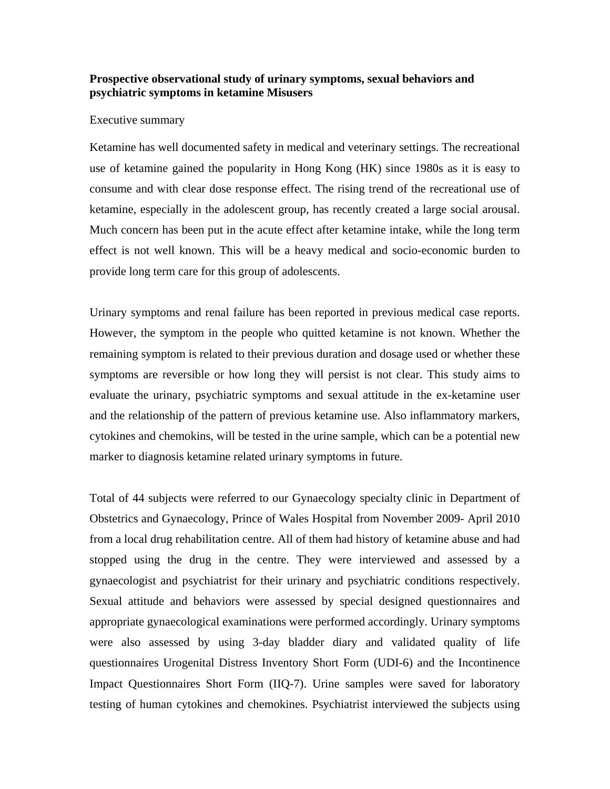## **Prospective observational study of urinary symptoms, sexual behaviors and psychiatric symptoms in ketamine Misusers**

## Executive summary

Ketamine has well documented safety in medical and veterinary settings. The recreational use of ketamine gained the popularity in Hong Kong (HK) since 1980s as it is easy to consume and with clear dose response effect. The rising trend of the recreational use of ketamine, especially in the adolescent group, has recently created a large social arousal. Much concern has been put in the acute effect after ketamine intake, while the long term effect is not well known. This will be a heavy medical and socio-economic burden to provide long term care for this group of adolescents.

Urinary symptoms and renal failure has been reported in previous medical case reports. However, the symptom in the people who quitted ketamine is not known. Whether the remaining symptom is related to their previous duration and dosage used or whether these symptoms are reversible or how long they will persist is not clear. This study aims to evaluate the urinary, psychiatric symptoms and sexual attitude in the ex-ketamine user and the relationship of the pattern of previous ketamine use. Also inflammatory markers, cytokines and chemokins, will be tested in the urine sample, which can be a potential new marker to diagnosis ketamine related urinary symptoms in future.

Total of 44 subjects were referred to our Gynaecology specialty clinic in Department of Obstetrics and Gynaecology, Prince of Wales Hospital from November 2009- April 2010 from a local drug rehabilitation centre. All of them had history of ketamine abuse and had stopped using the drug in the centre. They were interviewed and assessed by a gynaecologist and psychiatrist for their urinary and psychiatric conditions respectively. Sexual attitude and behaviors were assessed by special designed questionnaires and appropriate gynaecological examinations were performed accordingly. Urinary symptoms were also assessed by using 3-day bladder diary and validated quality of life questionnaires Urogenital Distress Inventory Short Form (UDI-6) and the Incontinence Impact Questionnaires Short Form (IIQ-7). Urine samples were saved for laboratory testing of human cytokines and chemokines. Psychiatrist interviewed the subjects using